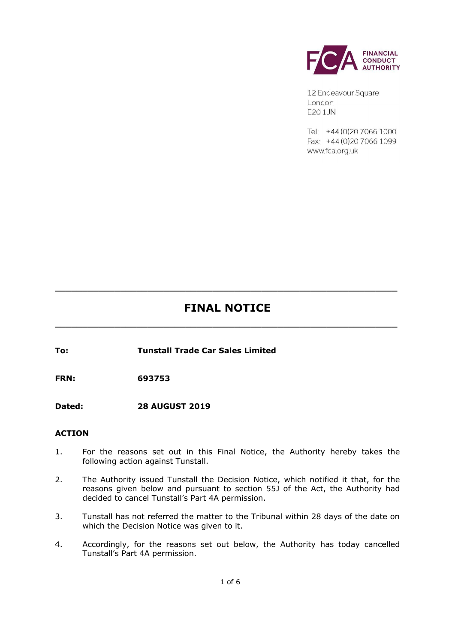

12 Endeavour Square London F201JN

 $Tel - +44(0)2070661000$ Fax: +44 (0) 20 7066 1099 www.fca.org.uk

# **FINAL NOTICE**

**\_\_\_\_\_\_\_\_\_\_\_\_\_\_\_\_\_\_\_\_\_\_\_\_\_\_\_\_\_\_\_\_\_\_\_\_\_\_\_\_\_\_\_\_\_\_\_\_\_\_\_\_\_\_\_\_\_\_\_\_\_\_\_**

**\_\_\_\_\_\_\_\_\_\_\_\_\_\_\_\_\_\_\_\_\_\_\_\_\_\_\_\_\_\_\_\_\_\_\_\_\_\_\_\_\_\_\_\_\_\_\_\_\_\_\_\_\_\_\_\_\_\_\_\_\_\_\_**

**To: Tunstall Trade Car Sales Limited**

**FRN: 693753** 

**Dated: 28 AUGUST 2019**

# **ACTION**

- 1. For the reasons set out in this Final Notice, the Authority hereby takes the following action against Tunstall.
- 2. The Authority issued Tunstall the Decision Notice, which notified it that, for the reasons given below and pursuant to section 55J of the Act, the Authority had decided to cancel Tunstall's Part 4A permission.
- 3. Tunstall has not referred the matter to the Tribunal within 28 days of the date on which the Decision Notice was given to it.
- 4. Accordingly, for the reasons set out below, the Authority has today cancelled Tunstall's Part 4A permission.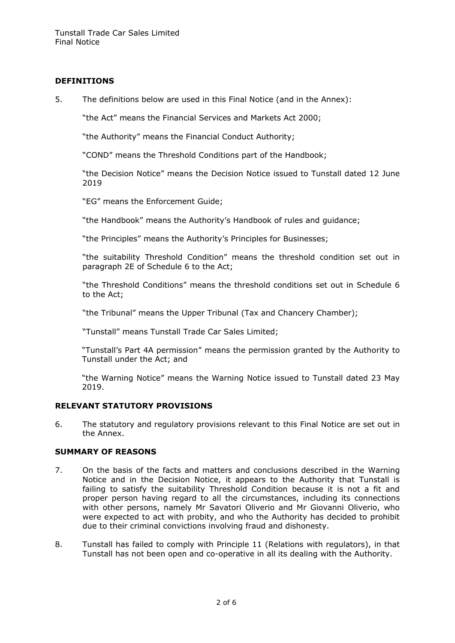## **DEFINITIONS**

5. The definitions below are used in this Final Notice (and in the Annex):

"the Act" means the Financial Services and Markets Act 2000;

"the Authority" means the Financial Conduct Authority;

"COND" means the Threshold Conditions part of the Handbook;

"the Decision Notice" means the Decision Notice issued to Tunstall dated 12 June 2019

"EG" means the Enforcement Guide;

"the Handbook" means the Authority's Handbook of rules and guidance;

"the Principles" means the Authority's Principles for Businesses;

"the suitability Threshold Condition" means the threshold condition set out in paragraph 2E of Schedule 6 to the Act;

"the Threshold Conditions" means the threshold conditions set out in Schedule 6 to the Act;

"the Tribunal" means the Upper Tribunal (Tax and Chancery Chamber);

"Tunstall" means Tunstall Trade Car Sales Limited;

"Tunstall's Part 4A permission" means the permission granted by the Authority to Tunstall under the Act; and

"the Warning Notice" means the Warning Notice issued to Tunstall dated 23 May 2019.

## **RELEVANT STATUTORY PROVISIONS**

6. The statutory and regulatory provisions relevant to this Final Notice are set out in the Annex.

## **SUMMARY OF REASONS**

- 7. On the basis of the facts and matters and conclusions described in the Warning Notice and in the Decision Notice, it appears to the Authority that Tunstall is failing to satisfy the suitability Threshold Condition because it is not a fit and proper person having regard to all the circumstances, including its connections with other persons, namely Mr Savatori Oliverio and Mr Giovanni Oliverio, who were expected to act with probity, and who the Authority has decided to prohibit due to their criminal convictions involving fraud and dishonesty.
- 8. Tunstall has failed to comply with Principle 11 (Relations with regulators), in that Tunstall has not been open and co-operative in all its dealing with the Authority.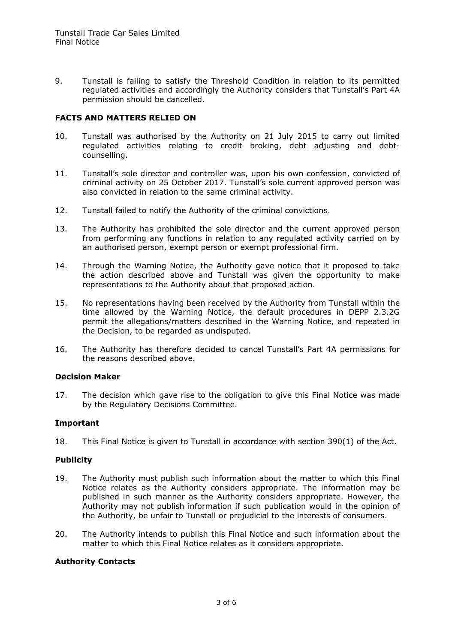9. Tunstall is failing to satisfy the Threshold Condition in relation to its permitted regulated activities and accordingly the Authority considers that Tunstall's Part 4A permission should be cancelled.

## **FACTS AND MATTERS RELIED ON**

- 10. Tunstall was authorised by the Authority on 21 July 2015 to carry out limited regulated activities relating to credit broking, debt adjusting and debtcounselling.
- 11. Tunstall's sole director and controller was, upon his own confession, convicted of criminal activity on 25 October 2017. Tunstall's sole current approved person was also convicted in relation to the same criminal activity.
- 12. Tunstall failed to notify the Authority of the criminal convictions.
- 13. The Authority has prohibited the sole director and the current approved person from performing any functions in relation to any regulated activity carried on by an authorised person, exempt person or exempt professional firm.
- 14. Through the Warning Notice, the Authority gave notice that it proposed to take the action described above and Tunstall was given the opportunity to make representations to the Authority about that proposed action.
- 15. No representations having been received by the Authority from Tunstall within the time allowed by the Warning Notice, the default procedures in DEPP 2.3.2G permit the allegations/matters described in the Warning Notice, and repeated in the Decision, to be regarded as undisputed.
- 16. The Authority has therefore decided to cancel Tunstall's Part 4A permissions for the reasons described above.

#### **Decision Maker**

17. The decision which gave rise to the obligation to give this Final Notice was made by the Regulatory Decisions Committee.

## **Important**

18. This Final Notice is given to Tunstall in accordance with section 390(1) of the Act.

#### **Publicity**

- 19. The Authority must publish such information about the matter to which this Final Notice relates as the Authority considers appropriate. The information may be published in such manner as the Authority considers appropriate. However, the Authority may not publish information if such publication would in the opinion of the Authority, be unfair to Tunstall or prejudicial to the interests of consumers.
- 20. The Authority intends to publish this Final Notice and such information about the matter to which this Final Notice relates as it considers appropriate.

#### **Authority Contacts**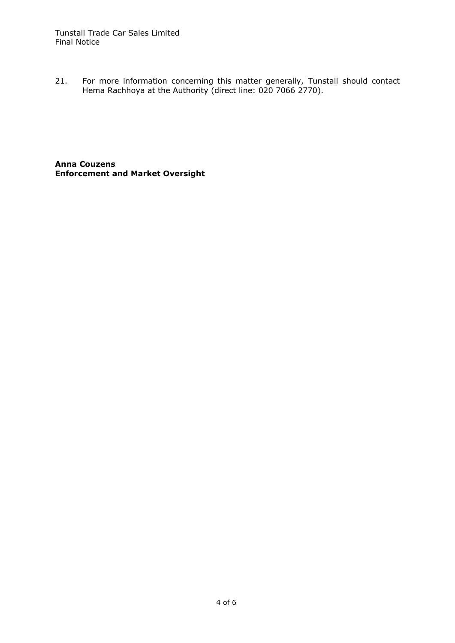21. For more information concerning this matter generally, Tunstall should contact Hema Rachhoya at the Authority (direct line: 020 7066 2770).

**Anna Couzens Enforcement and Market Oversight**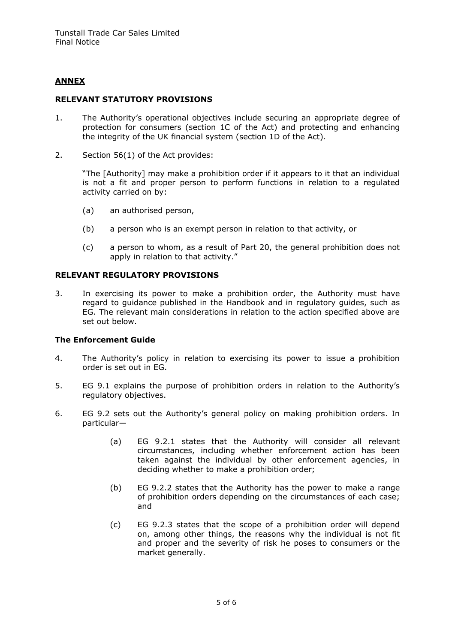# **ANNEX**

#### **RELEVANT STATUTORY PROVISIONS**

- 1. The Authority's operational objectives include securing an appropriate degree of protection for consumers (section 1C of the Act) and protecting and enhancing the integrity of the UK financial system (section 1D of the Act).
- 2. Section 56(1) of the Act provides:

"The [Authority] may make a prohibition order if it appears to it that an individual is not a fit and proper person to perform functions in relation to a regulated activity carried on by:

- (a) an authorised person,
- (b) a person who is an exempt person in relation to that activity, or
- (c) a person to whom, as a result of Part 20, the general prohibition does not apply in relation to that activity."

### **RELEVANT REGULATORY PROVISIONS**

3. In exercising its power to make a prohibition order, the Authority must have regard to guidance published in the Handbook and in regulatory guides, such as EG. The relevant main considerations in relation to the action specified above are set out below.

#### **The Enforcement Guide**

- 4. The Authority's policy in relation to exercising its power to issue a prohibition order is set out in EG.
- 5. EG 9.1 explains the purpose of prohibition orders in relation to the Authority's regulatory objectives.
- 6. EG 9.2 sets out the Authority's general policy on making prohibition orders. In particular—
	- (a) EG 9.2.1 states that the Authority will consider all relevant circumstances, including whether enforcement action has been taken against the individual by other enforcement agencies, in deciding whether to make a prohibition order;
	- (b) EG 9.2.2 states that the Authority has the power to make a range of prohibition orders depending on the circumstances of each case; and
	- (c) EG 9.2.3 states that the scope of a prohibition order will depend on, among other things, the reasons why the individual is not fit and proper and the severity of risk he poses to consumers or the market generally.